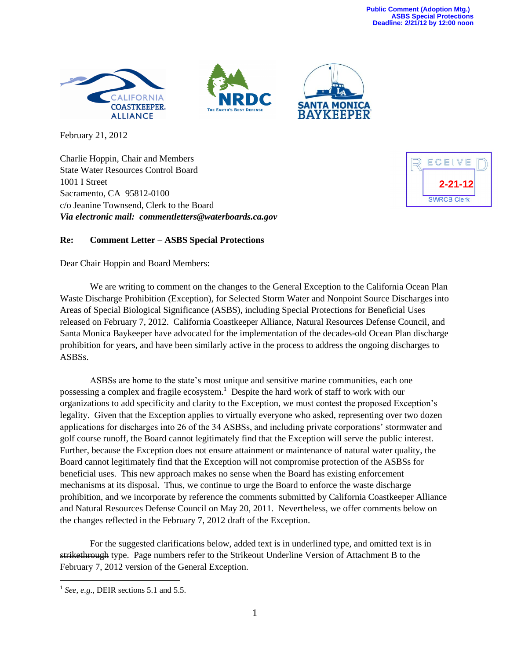**Public Comment (Adoption Mtg.) ASBS Special Protections Deadline: 2/21/12 by 12:00 noon**







February 21, 2012

Charlie Hoppin, Chair and Members State Water Resources Control Board 1001 I Street Sacramento, CA 95812-0100 c/o Jeanine Townsend, Clerk to the Board *Via electronic mail: commentletters@waterboards.ca.gov*



## **Re: Comment Letter – ASBS Special Protections**

Dear Chair Hoppin and Board Members:

We are writing to comment on the changes to the General Exception to the California Ocean Plan Waste Discharge Prohibition (Exception), for Selected Storm Water and Nonpoint Source Discharges into Areas of Special Biological Significance (ASBS), including Special Protections for Beneficial Uses released on February 7, 2012. California Coastkeeper Alliance, Natural Resources Defense Council, and Santa Monica Baykeeper have advocated for the implementation of the decades-old Ocean Plan discharge prohibition for years, and have been similarly active in the process to address the ongoing discharges to ASBSs.

ASBSs are home to the state's most unique and sensitive marine communities, each one possessing a complex and fragile ecosystem.<sup>1</sup> Despite the hard work of staff to work with our organizations to add specificity and clarity to the Exception, we must contest the proposed Exception's legality. Given that the Exception applies to virtually everyone who asked, representing over two dozen applications for discharges into 26 of the 34 ASBSs, and including private corporations' stormwater and golf course runoff, the Board cannot legitimately find that the Exception will serve the public interest. Further, because the Exception does not ensure attainment or maintenance of natural water quality, the Board cannot legitimately find that the Exception will not compromise protection of the ASBSs for beneficial uses. This new approach makes no sense when the Board has existing enforcement mechanisms at its disposal. Thus, we continue to urge the Board to enforce the waste discharge prohibition, and we incorporate by reference the comments submitted by California Coastkeeper Alliance and Natural Resources Defense Council on May 20, 2011. Nevertheless, we offer comments below on the changes reflected in the February 7, 2012 draft of the Exception.

For the suggested clarifications below, added text is in underlined type, and omitted text is in strikethrough type. Page numbers refer to the Strikeout Underline Version of Attachment B to the February 7, 2012 version of the General Exception.

 $\overline{\phantom{a}}$ 

 $<sup>1</sup>$  *See, e.g.*, DEIR sections 5.1 and 5.5.</sup>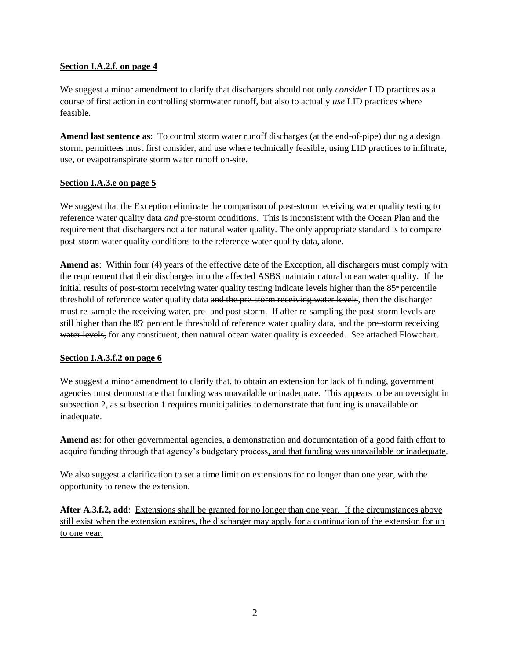# **Section I.A.2.f. on page 4**

We suggest a minor amendment to clarify that dischargers should not only *consider* LID practices as a course of first action in controlling stormwater runoff, but also to actually *use* LID practices where feasible.

**Amend last sentence as**: To control storm water runoff discharges (at the end-of-pipe) during a design storm, permittees must first consider, and use where technically feasible, using LID practices to infiltrate, use, or evapotranspirate storm water runoff on-site.

## **Section I.A.3.e on page 5**

We suggest that the Exception eliminate the comparison of post-storm receiving water quality testing to reference water quality data *and* pre-storm conditions. This is inconsistent with the Ocean Plan and the requirement that dischargers not alter natural water quality. The only appropriate standard is to compare post-storm water quality conditions to the reference water quality data, alone.

**Amend as**: Within four (4) years of the effective date of the Exception, all dischargers must comply with the requirement that their discharges into the affected ASBS maintain natural ocean water quality. If the initial results of post-storm receiving water quality testing indicate levels higher than the  $85<sup>th</sup>$  percentile threshold of reference water quality data and the pre-storm receiving water levels, then the discharger must re-sample the receiving water, pre- and post-storm. If after re-sampling the post-storm levels are still higher than the  $85<sup>th</sup>$  percentile threshold of reference water quality data, and the pre-storm receiving water levels, for any constituent, then natural ocean water quality is exceeded. See attached Flowchart.

### **Section I.A.3.f.2 on page 6**

We suggest a minor amendment to clarify that, to obtain an extension for lack of funding, government agencies must demonstrate that funding was unavailable or inadequate. This appears to be an oversight in subsection 2, as subsection 1 requires municipalities to demonstrate that funding is unavailable or inadequate.

**Amend as**: for other governmental agencies, a demonstration and documentation of a good faith effort to acquire funding through that agency's budgetary process, and that funding was unavailable or inadequate.

We also suggest a clarification to set a time limit on extensions for no longer than one year, with the opportunity to renew the extension.

**After A.3.f.2, add**: Extensions shall be granted for no longer than one year. If the circumstances above still exist when the extension expires, the discharger may apply for a continuation of the extension for up to one year.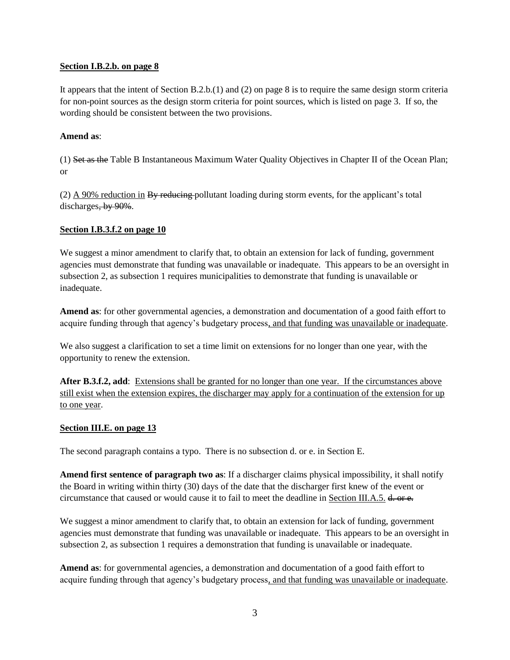# **Section I.B.2.b. on page 8**

It appears that the intent of Section B.2.b.(1) and (2) on page 8 is to require the same design storm criteria for non-point sources as the design storm criteria for point sources, which is listed on page 3. If so, the wording should be consistent between the two provisions.

## **Amend as**:

(1) Set as the Table B Instantaneous Maximum Water Quality Objectives in Chapter II of the Ocean Plan; or

(2) A 90% reduction in  $\frac{B_y \text{ reducing}}{B_y}$  pollutant loading during storm events, for the applicant's total discharges, by 90%.

# **Section I.B.3.f.2 on page 10**

We suggest a minor amendment to clarify that, to obtain an extension for lack of funding, government agencies must demonstrate that funding was unavailable or inadequate. This appears to be an oversight in subsection 2, as subsection 1 requires municipalities to demonstrate that funding is unavailable or inadequate.

**Amend as**: for other governmental agencies, a demonstration and documentation of a good faith effort to acquire funding through that agency's budgetary process, and that funding was unavailable or inadequate.

We also suggest a clarification to set a time limit on extensions for no longer than one year, with the opportunity to renew the extension.

After B.3.f.2, add: Extensions shall be granted for no longer than one year. If the circumstances above still exist when the extension expires, the discharger may apply for a continuation of the extension for up to one year.

### **Section III.E. on page 13**

The second paragraph contains a typo. There is no subsection d. or e. in Section E.

**Amend first sentence of paragraph two as**: If a discharger claims physical impossibility, it shall notify the Board in writing within thirty (30) days of the date that the discharger first knew of the event or circumstance that caused or would cause it to fail to meet the deadline in Section III.A.5. d. or e.

We suggest a minor amendment to clarify that, to obtain an extension for lack of funding, government agencies must demonstrate that funding was unavailable or inadequate. This appears to be an oversight in subsection 2, as subsection 1 requires a demonstration that funding is unavailable or inadequate.

**Amend as**: for governmental agencies, a demonstration and documentation of a good faith effort to acquire funding through that agency's budgetary process, and that funding was unavailable or inadequate.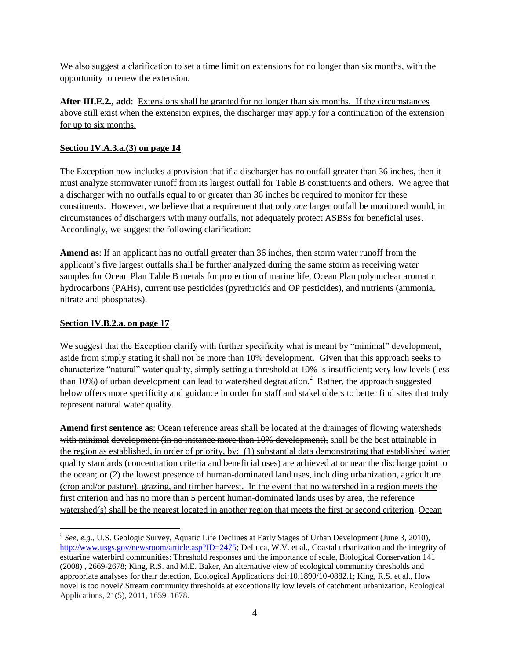We also suggest a clarification to set a time limit on extensions for no longer than six months, with the opportunity to renew the extension.

**After III.E.2., add**: Extensions shall be granted for no longer than six months. If the circumstances above still exist when the extension expires, the discharger may apply for a continuation of the extension for up to six months.

# **Section IV.A.3.a.(3) on page 14**

The Exception now includes a provision that if a discharger has no outfall greater than 36 inches, then it must analyze stormwater runoff from its largest outfall for Table B constituents and others. We agree that a discharger with no outfalls equal to or greater than 36 inches be required to monitor for these constituents. However, we believe that a requirement that only *one* larger outfall be monitored would, in circumstances of dischargers with many outfalls, not adequately protect ASBSs for beneficial uses. Accordingly, we suggest the following clarification:

**Amend as**: If an applicant has no outfall greater than 36 inches, then storm water runoff from the applicant's five largest outfalls shall be further analyzed during the same storm as receiving water samples for Ocean Plan Table B metals for protection of marine life, Ocean Plan polynuclear aromatic hydrocarbons (PAHs), current use pesticides (pyrethroids and OP pesticides), and nutrients (ammonia, nitrate and phosphates).

## **Section IV.B.2.a. on page 17**

We suggest that the Exception clarify with further specificity what is meant by "minimal" development, aside from simply stating it shall not be more than 10% development. Given that this approach seeks to characterize "natural" water quality, simply setting a threshold at 10% is insufficient; very low levels (less than 10%) of urban development can lead to watershed degradation.<sup>2</sup> Rather, the approach suggested below offers more specificity and guidance in order for staff and stakeholders to better find sites that truly represent natural water quality.

**Amend first sentence as**: Ocean reference areas shall be located at the drainages of flowing watersheds with minimal development (in no instance more than 10% development), shall be the best attainable in the region as established, in order of priority, by: (1) substantial data demonstrating that established water quality standards (concentration criteria and beneficial uses) are achieved at or near the discharge point to the ocean; or (2) the lowest presence of human-dominated land uses, including urbanization, agriculture (crop and/or pasture), grazing, and timber harvest. In the event that no watershed in a region meets the first criterion and has no more than 5 percent human-dominated lands uses by area, the reference watershed(s) shall be the nearest located in another region that meets the first or second criterion. Ocean

 $\overline{\phantom{a}}$ <sup>2</sup> See, e.g., U.S. Geologic Survey, Aquatic Life Declines at Early Stages of Urban Development (June 3, 2010), [http://www.usgs.gov/newsroom/article.asp?ID=2475;](http://www.usgs.gov/newsroom/article.asp?ID=2475) DeLuca, W.V. et al., Coastal urbanization and the integrity of estuarine waterbird communities: Threshold responses and the importance of scale, Biological Conservation 141 (2008) , 2669-2678; King, R.S. and M.E. Baker, An alternative view of ecological community thresholds and appropriate analyses for their detection, Ecological Applications doi:10.1890/10-0882.1; King, R.S. et al., How novel is too novel? Stream community thresholds at exceptionally low levels of catchment urbanization, Ecological Applications, 21(5), 2011, 1659–1678.